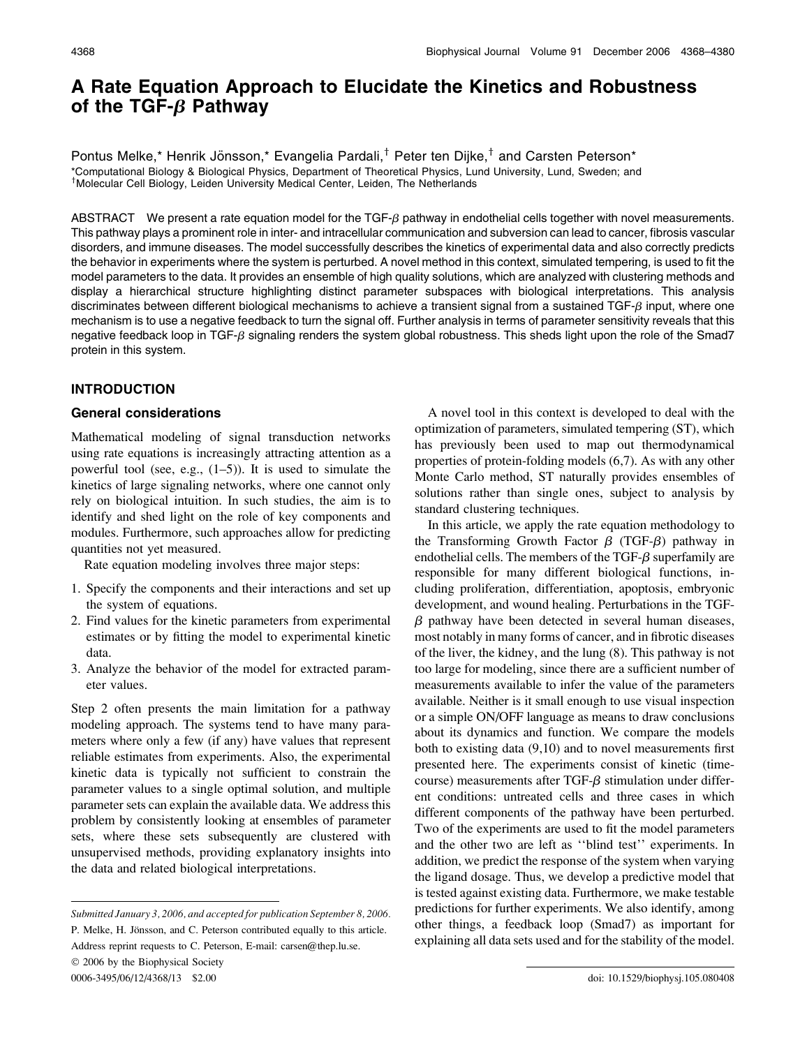# A Rate Equation Approach to Elucidate the Kinetics and Robustness of the TGF- $\beta$  Pathway

Pontus Melke,\* Henrik Jönsson,\* Evangelia Pardali,<sup>†</sup> Peter ten Dijke,<sup>†</sup> and Carsten Peterson\* \*Computational Biology & Biological Physics, Department of Theoretical Physics, Lund University, Lund, Sweden; and <sup>†</sup>Molecular Cell Biology, Leiden University Medical Center, Leiden, The Netherlands

ABSTRACT We present a rate equation model for the TGF- $\beta$  pathway in endothelial cells together with novel measurements. This pathway plays a prominent role in inter- and intracellular communication and subversion can lead to cancer, fibrosis vascular disorders, and immune diseases. The model successfully describes the kinetics of experimental data and also correctly predicts the behavior in experiments where the system is perturbed. A novel method in this context, simulated tempering, is used to fit the model parameters to the data. It provides an ensemble of high quality solutions, which are analyzed with clustering methods and display a hierarchical structure highlighting distinct parameter subspaces with biological interpretations. This analysis discriminates between different biological mechanisms to achieve a transient signal from a sustained  $TGF-\beta$  input, where one mechanism is to use a negative feedback to turn the signal off. Further analysis in terms of parameter sensitivity reveals that this negative feedback loop in TGF- $\beta$  signaling renders the system global robustness. This sheds light upon the role of the Smad7 protein in this system.

# INTRODUCTION

# General considerations

Mathematical modeling of signal transduction networks using rate equations is increasingly attracting attention as a powerful tool (see, e.g.,  $(1-5)$ ). It is used to simulate the kinetics of large signaling networks, where one cannot only rely on biological intuition. In such studies, the aim is to identify and shed light on the role of key components and modules. Furthermore, such approaches allow for predicting quantities not yet measured.

Rate equation modeling involves three major steps:

- 1. Specify the components and their interactions and set up the system of equations.
- 2. Find values for the kinetic parameters from experimental estimates or by fitting the model to experimental kinetic data.
- 3. Analyze the behavior of the model for extracted parameter values.

Step 2 often presents the main limitation for a pathway modeling approach. The systems tend to have many parameters where only a few (if any) have values that represent reliable estimates from experiments. Also, the experimental kinetic data is typically not sufficient to constrain the parameter values to a single optimal solution, and multiple parameter sets can explain the available data. We address this problem by consistently looking at ensembles of parameter sets, where these sets subsequently are clustered with unsupervised methods, providing explanatory insights into the data and related biological interpretations.

 $© 2006$  by the Biophysical Society

0006-3495/06/12/4368/13 \$2.00 doi: 10.1529/biophysj.105.080408

A novel tool in this context is developed to deal with the optimization of parameters, simulated tempering (ST), which has previously been used to map out thermodynamical properties of protein-folding models (6,7). As with any other Monte Carlo method, ST naturally provides ensembles of solutions rather than single ones, subject to analysis by standard clustering techniques.

In this article, we apply the rate equation methodology to the Transforming Growth Factor  $\beta$  (TGF- $\beta$ ) pathway in endothelial cells. The members of the TGF- $\beta$  superfamily are responsible for many different biological functions, including proliferation, differentiation, apoptosis, embryonic development, and wound healing. Perturbations in the TGF- $\beta$  pathway have been detected in several human diseases, most notably in many forms of cancer, and in fibrotic diseases of the liver, the kidney, and the lung (8). This pathway is not too large for modeling, since there are a sufficient number of measurements available to infer the value of the parameters available. Neither is it small enough to use visual inspection or a simple ON/OFF language as means to draw conclusions about its dynamics and function. We compare the models both to existing data (9,10) and to novel measurements first presented here. The experiments consist of kinetic (timecourse) measurements after TGF- $\beta$  stimulation under different conditions: untreated cells and three cases in which different components of the pathway have been perturbed. Two of the experiments are used to fit the model parameters and the other two are left as ''blind test'' experiments. In addition, we predict the response of the system when varying the ligand dosage. Thus, we develop a predictive model that is tested against existing data. Furthermore, we make testable predictions for further experiments. We also identify, among other things, a feedback loop (Smad7) as important for explaining all data sets used and for the stability of the model.

Submitted January 3, 2006, and accepted for publication September 8, 2006. P. Melke, H. Jönsson, and C. Peterson contributed equally to this article.

Address reprint requests to C. Peterson, E-mail: carsen@thep.lu.se.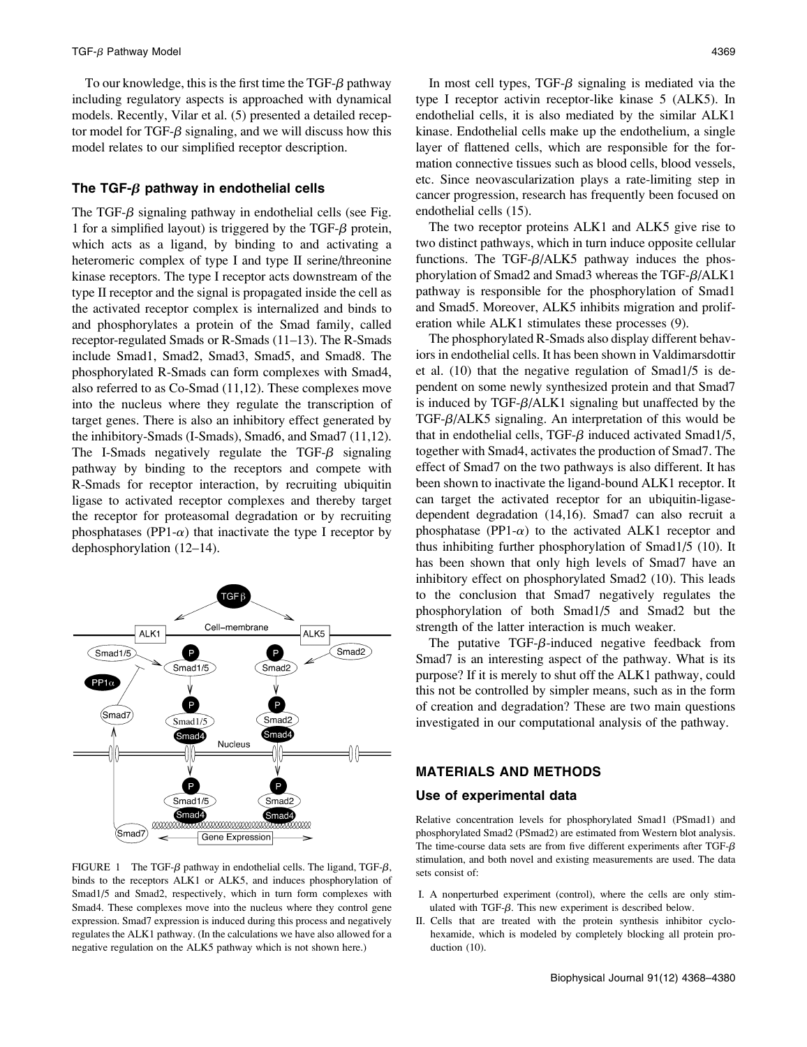To our knowledge, this is the first time the TGF- $\beta$  pathway including regulatory aspects is approached with dynamical models. Recently, Vilar et al. (5) presented a detailed receptor model for TGF- $\beta$  signaling, and we will discuss how this model relates to our simplified receptor description.

# The TGF- $\beta$  pathway in endothelial cells

The TGF- $\beta$  signaling pathway in endothelial cells (see Fig. 1 for a simplified layout) is triggered by the TGF- $\beta$  protein, which acts as a ligand, by binding to and activating a heteromeric complex of type I and type II serine/threonine kinase receptors. The type I receptor acts downstream of the type II receptor and the signal is propagated inside the cell as the activated receptor complex is internalized and binds to and phosphorylates a protein of the Smad family, called receptor-regulated Smads or R-Smads (11–13). The R-Smads include Smad1, Smad2, Smad3, Smad5, and Smad8. The phosphorylated R-Smads can form complexes with Smad4, also referred to as Co-Smad (11,12). These complexes move into the nucleus where they regulate the transcription of target genes. There is also an inhibitory effect generated by the inhibitory-Smads (I-Smads), Smad6, and Smad7 (11,12). The I-Smads negatively regulate the TGF- $\beta$  signaling pathway by binding to the receptors and compete with R-Smads for receptor interaction, by recruiting ubiquitin ligase to activated receptor complexes and thereby target the receptor for proteasomal degradation or by recruiting phosphatases (PP1- $\alpha$ ) that inactivate the type I receptor by dephosphorylation (12–14).



FIGURE 1 The TGF- $\beta$  pathway in endothelial cells. The ligand, TGF- $\beta$ , binds to the receptors ALK1 or ALK5, and induces phosphorylation of Smad1/5 and Smad2, respectively, which in turn form complexes with Smad4. These complexes move into the nucleus where they control gene expression. Smad7 expression is induced during this process and negatively regulates the ALK1 pathway. (In the calculations we have also allowed for a negative regulation on the ALK5 pathway which is not shown here.)

In most cell types,  $TGF- $\beta$  signaling is mediated via the$ type I receptor activin receptor-like kinase 5 (ALK5). In endothelial cells, it is also mediated by the similar ALK1 kinase. Endothelial cells make up the endothelium, a single layer of flattened cells, which are responsible for the formation connective tissues such as blood cells, blood vessels, etc. Since neovascularization plays a rate-limiting step in cancer progression, research has frequently been focused on endothelial cells (15).

The two receptor proteins ALK1 and ALK5 give rise to two distinct pathways, which in turn induce opposite cellular functions. The TGF- $\beta$ /ALK5 pathway induces the phosphorylation of Smad2 and Smad3 whereas the TGF- $\beta$ /ALK1 pathway is responsible for the phosphorylation of Smad1 and Smad5. Moreover, ALK5 inhibits migration and proliferation while ALK1 stimulates these processes (9).

The phosphorylated R-Smads also display different behaviors in endothelial cells. It has been shown in Valdimarsdottir et al. (10) that the negative regulation of Smad1/5 is dependent on some newly synthesized protein and that Smad7 is induced by TGF- $\beta$ /ALK1 signaling but unaffected by the TGF- $\beta$ /ALK5 signaling. An interpretation of this would be that in endothelial cells, TGF- $\beta$  induced activated Smad1/5, together with Smad4, activates the production of Smad7. The effect of Smad7 on the two pathways is also different. It has been shown to inactivate the ligand-bound ALK1 receptor. It can target the activated receptor for an ubiquitin-ligasedependent degradation (14,16). Smad7 can also recruit a phosphatase (PP1- $\alpha$ ) to the activated ALK1 receptor and thus inhibiting further phosphorylation of Smad1/5 (10). It has been shown that only high levels of Smad7 have an inhibitory effect on phosphorylated Smad2 (10). This leads to the conclusion that Smad7 negatively regulates the phosphorylation of both Smad1/5 and Smad2 but the strength of the latter interaction is much weaker.

The putative TGF- $\beta$ -induced negative feedback from Smad7 is an interesting aspect of the pathway. What is its purpose? If it is merely to shut off the ALK1 pathway, could this not be controlled by simpler means, such as in the form of creation and degradation? These are two main questions investigated in our computational analysis of the pathway.

# MATERIALS AND METHODS

#### Use of experimental data

Relative concentration levels for phosphorylated Smad1 (PSmad1) and phosphorylated Smad2 (PSmad2) are estimated from Western blot analysis. The time-course data sets are from five different experiments after TGF- $\beta$ stimulation, and both novel and existing measurements are used. The data sets consist of:

- I. A nonperturbed experiment (control), where the cells are only stimulated with TGF- $\beta$ . This new experiment is described below.
- II. Cells that are treated with the protein synthesis inhibitor cyclohexamide, which is modeled by completely blocking all protein production (10).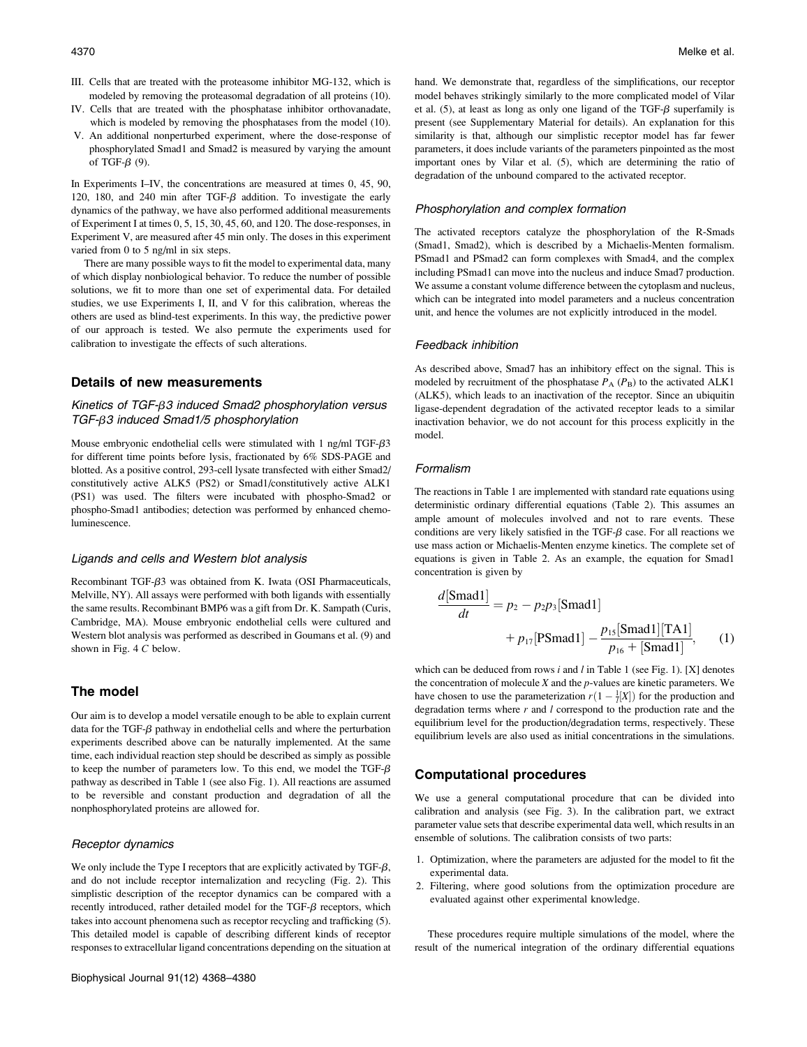- III. Cells that are treated with the proteasome inhibitor MG-132, which is modeled by removing the proteasomal degradation of all proteins (10).
- IV. Cells that are treated with the phosphatase inhibitor orthovanadate, which is modeled by removing the phosphatases from the model (10).
- V. An additional nonperturbed experiment, where the dose-response of phosphorylated Smad1 and Smad2 is measured by varying the amount of TGF- $\beta$  (9).

In Experiments I–IV, the concentrations are measured at times 0, 45, 90, 120, 180, and 240 min after TGF- $\beta$  addition. To investigate the early dynamics of the pathway, we have also performed additional measurements of Experiment I at times 0, 5, 15, 30, 45, 60, and 120. The dose-responses, in Experiment V, are measured after 45 min only. The doses in this experiment varied from 0 to 5 ng/ml in six steps.

There are many possible ways to fit the model to experimental data, many of which display nonbiological behavior. To reduce the number of possible solutions, we fit to more than one set of experimental data. For detailed studies, we use Experiments I, II, and V for this calibration, whereas the others are used as blind-test experiments. In this way, the predictive power of our approach is tested. We also permute the experiments used for calibration to investigate the effects of such alterations.

# Details of new measurements

# Kinetics of TGF- $\beta$ 3 induced Smad2 phosphorylation versus TGF- $\beta$ 3 induced Smad1/5 phosphorylation

Mouse embryonic endothelial cells were stimulated with 1 ng/ml TGF- $\beta$ 3 for different time points before lysis, fractionated by 6% SDS-PAGE and blotted. As a positive control, 293-cell lysate transfected with either Smad2/ constitutively active ALK5 (PS2) or Smad1/constitutively active ALK1 (PS1) was used. The filters were incubated with phospho-Smad2 or phospho-Smad1 antibodies; detection was performed by enhanced chemoluminescence.

#### Ligands and cells and Western blot analysis

Recombinant TGF- $\beta$ 3 was obtained from K. Iwata (OSI Pharmaceuticals, Melville, NY). All assays were performed with both ligands with essentially the same results. Recombinant BMP6 was a gift from Dr. K. Sampath (Curis, Cambridge, MA). Mouse embryonic endothelial cells were cultured and Western blot analysis was performed as described in Goumans et al. (9) and shown in Fig. 4 C below.

# The model

Our aim is to develop a model versatile enough to be able to explain current data for the TGF- $\beta$  pathway in endothelial cells and where the perturbation experiments described above can be naturally implemented. At the same time, each individual reaction step should be described as simply as possible to keep the number of parameters low. To this end, we model the TGF- $\beta$ pathway as described in Table 1 (see also Fig. 1). All reactions are assumed to be reversible and constant production and degradation of all the nonphosphorylated proteins are allowed for.

#### Receptor dynamics

We only include the Type I receptors that are explicitly activated by TGF- $\beta$ , and do not include receptor internalization and recycling (Fig. 2). This simplistic description of the receptor dynamics can be compared with a recently introduced, rather detailed model for the TGF- $\beta$  receptors, which takes into account phenomena such as receptor recycling and trafficking (5). This detailed model is capable of describing different kinds of receptor responses to extracellular ligand concentrations depending on the situation at hand. We demonstrate that, regardless of the simplifications, our receptor model behaves strikingly similarly to the more complicated model of Vilar et al.  $(5)$ , at least as long as only one ligand of the TGF- $\beta$  superfamily is present (see Supplementary Material for details). An explanation for this similarity is that, although our simplistic receptor model has far fewer parameters, it does include variants of the parameters pinpointed as the most important ones by Vilar et al. (5), which are determining the ratio of degradation of the unbound compared to the activated receptor.

#### Phosphorylation and complex formation

The activated receptors catalyze the phosphorylation of the R-Smads (Smad1, Smad2), which is described by a Michaelis-Menten formalism. PSmad1 and PSmad2 can form complexes with Smad4, and the complex including PSmad1 can move into the nucleus and induce Smad7 production. We assume a constant volume difference between the cytoplasm and nucleus, which can be integrated into model parameters and a nucleus concentration unit, and hence the volumes are not explicitly introduced in the model.

### Feedback inhibition

As described above, Smad7 has an inhibitory effect on the signal. This is modeled by recruitment of the phosphatase  $P_A$  ( $P_B$ ) to the activated ALK1 (ALK5), which leads to an inactivation of the receptor. Since an ubiquitin ligase-dependent degradation of the activated receptor leads to a similar inactivation behavior, we do not account for this process explicitly in the model.

### Formalism

The reactions in Table 1 are implemented with standard rate equations using deterministic ordinary differential equations (Table 2). This assumes an ample amount of molecules involved and not to rare events. These conditions are very likely satisfied in the TGF- $\beta$  case. For all reactions we use mass action or Michaelis-Menten enzyme kinetics. The complete set of equations is given in Table 2. As an example, the equation for Smad1 concentration is given by

$$
\frac{d[\text{Smad1}]}{dt} = p_2 - p_2 p_3 [\text{Smad1}] + p_{17} [\text{PSmad1}] - \frac{p_{15} [\text{Smad1}][\text{TA1}]}{p_{16} + [\text{Smad1}]},
$$
 (1)

which can be deduced from rows  $i$  and  $l$  in Table 1 (see Fig. 1). [X] denotes the concentration of molecule  $X$  and the  $p$ -values are kinetic parameters. We have chosen to use the parameterization  $r(1 - \frac{1}{l}[X])$  for the production and degradation terms where  $r$  and  $l$  correspond to the production rate and the equilibrium level for the production/degradation terms, respectively. These equilibrium levels are also used as initial concentrations in the simulations.

# Computational procedures

We use a general computational procedure that can be divided into calibration and analysis (see Fig. 3). In the calibration part, we extract parameter value sets that describe experimental data well, which results in an ensemble of solutions. The calibration consists of two parts:

- 1. Optimization, where the parameters are adjusted for the model to fit the experimental data.
- 2. Filtering, where good solutions from the optimization procedure are evaluated against other experimental knowledge.

These procedures require multiple simulations of the model, where the result of the numerical integration of the ordinary differential equations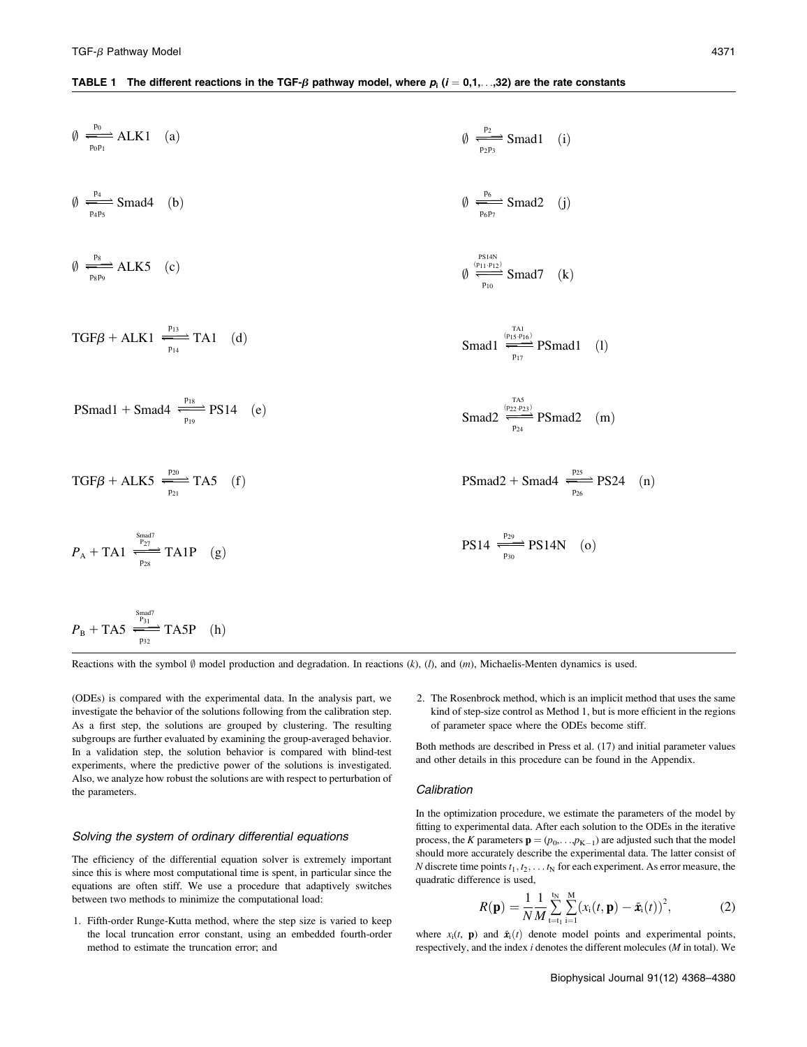#### TABLE 1 The different reactions in the TGF- $\beta$  pathway model, where  $p_i$  (i = 0,1,...,32) are the rate constants

$$
\emptyset \xrightarrow[\text{p}_{0\text{p}_1}]{\text{p}_{0\text{p}_1}} \text{ALK1} \quad \text{(a)}
$$
\n
$$
\emptyset \xrightarrow[\text{p}_{0\text{p}_2}]{} \text{Smad4} \quad \text{(b)}
$$
\n
$$
\emptyset \xrightarrow[\text{p}_{0\text{p}_3}]{\text{p}_{0\text{p}_2}} \text{Smad4} \quad \text{(b)}
$$
\n
$$
\emptyset \xrightarrow[\text{p}_{0\text{p}_3}]{\text{p}_{0\text{p}_3}} \text{Smad2} \quad \text{(j)}
$$
\n
$$
\emptyset \xrightarrow[\text{p}_{0\text{p}_4}]{\text{p}_{0\text{p}_5}} \text{Smad2} \quad \text{(j)}
$$
\n
$$
\emptyset \xrightarrow[\text{p}_{10}]{\text{p}_{0\text{p}_{0\text{p}_7}}} \text{Smad2} \quad \text{(j)}
$$
\n
$$
\emptyset \xrightarrow[\text{p}_{10}]{\text{p}_{0\text{p}_{10}}} \text{Smad7} \quad \text{(k)}
$$
\n
$$
\text{TGF}\beta + \text{ALK1} \xrightarrow[\text{p}_{14}]{\text{p}_{13}} \text{TA1} \quad \text{(d)}
$$
\n
$$
\text{Smad1} \xrightarrow[\text{p}_{17}]{\text{r}_{14}} \text{PSmad1}
$$

$$
PSmad1 + Smad4 \xrightarrow{p_{19}} PS14 \quad (e) \qquad \qquad \text{Smad2} \xrightarrow{p_{22}} PSmad2 \quad (m)
$$

$$
TGF\beta + ALK5 \xrightarrow[p_{21}]{p_{20}} TAS \quad (f)
$$

$$
P_A + T A1 \xrightarrow{p_{23}} T A1 P
$$
 (g)   
  $PS14 \xrightarrow{p_{20}} P S14 N$  (o)

$$
P_{\rm B} + {\rm TA5} \xrightarrow[\frac{\rm S_{\rm B3d}7}{\rm p_{32}}] {\rm TA5P} \quad (\rm h)
$$

Reactions with the symbol  $\emptyset$  model production and degradation. In reactions  $(k)$ ,  $(l)$ , and  $(m)$ , Michaelis-Menten dynamics is used.

(ODEs) is compared with the experimental data. In the analysis part, we investigate the behavior of the solutions following from the calibration step. As a first step, the solutions are grouped by clustering. The resulting subgroups are further evaluated by examining the group-averaged behavior. In a validation step, the solution behavior is compared with blind-test experiments, where the predictive power of the solutions is investigated. Also, we analyze how robust the solutions are with respect to perturbation of the parameters.

#### Solving the system of ordinary differential equations

The efficiency of the differential equation solver is extremely important since this is where most computational time is spent, in particular since the equations are often stiff. We use a procedure that adaptively switches between two methods to minimize the computational load:

1. Fifth-order Runge-Kutta method, where the step size is varied to keep the local truncation error constant, using an embedded fourth-order method to estimate the truncation error; and

2. The Rosenbrock method, which is an implicit method that uses the same kind of step-size control as Method 1, but is more efficient in the regions of parameter space where the ODEs become stiff.

 $(1)$ 

Both methods are described in Press et al. (17) and initial parameter values and other details in this procedure can be found in the Appendix.

#### **Calibration**

In the optimization procedure, we estimate the parameters of the model by fitting to experimental data. After each solution to the ODEs in the iterative process, the K parameters  $\mathbf{p} = (p_0, \ldots, p_{K-1})$  are adjusted such that the model should more accurately describe the experimental data. The latter consist of N discrete time points  $t_1, t_2, \ldots t_N$  for each experiment. As error measure, the quadratic difference is used,

$$
R(\mathbf{p}) = \frac{1}{N} \frac{1}{M} \sum_{t=t_1}^{t_N} \sum_{i=1}^{M} (x_i(t, \mathbf{p}) - \tilde{\mathbf{x}}_i(t))^2, \tag{2}
$$

where  $x_i(t, \mathbf{p})$  and  $\tilde{\mathbf{x}}_i(t)$  denote model points and experimental points, respectively, and the index i denotes the different molecules (M in total). We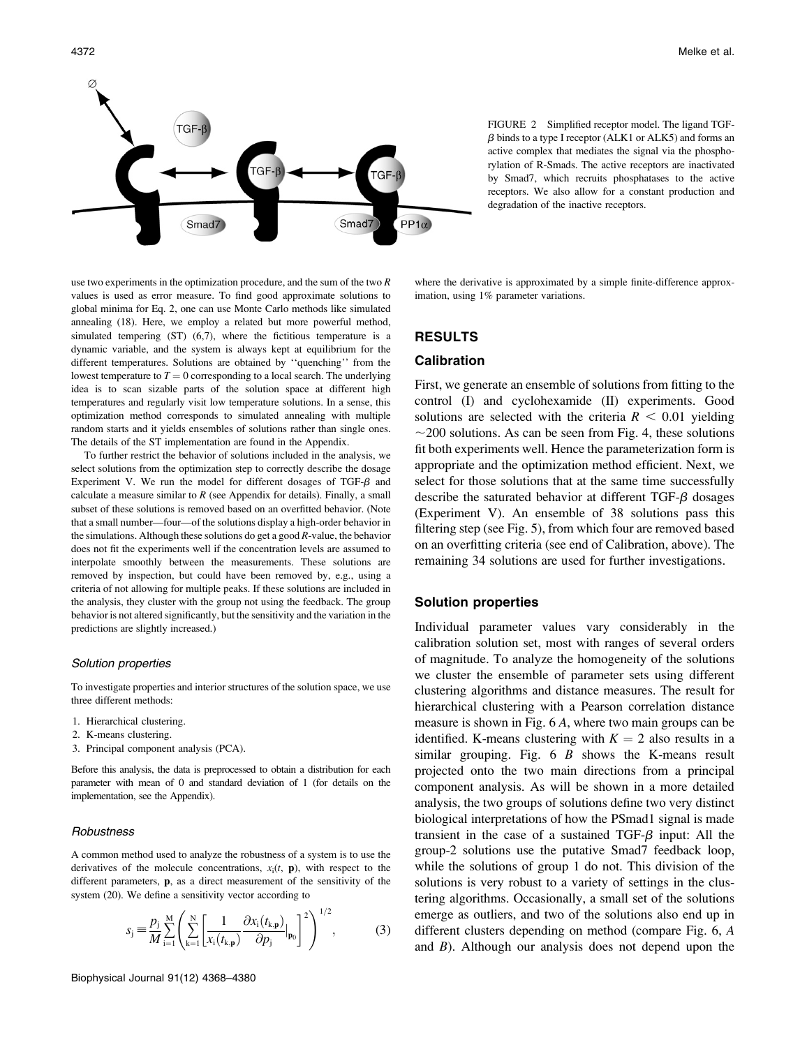



FIGURE 2 Simplified receptor model. The ligand TGF- $\beta$  binds to a type I receptor (ALK1 or ALK5) and forms an active complex that mediates the signal via the phosphorylation of R-Smads. The active receptors are inactivated by Smad7, which recruits phosphatases to the active receptors. We also allow for a constant production and degradation of the inactive receptors.

use two experiments in the optimization procedure, and the sum of the two R values is used as error measure. To find good approximate solutions to global minima for Eq. 2, one can use Monte Carlo methods like simulated annealing (18). Here, we employ a related but more powerful method, simulated tempering (ST) (6,7), where the fictitious temperature is a dynamic variable, and the system is always kept at equilibrium for the different temperatures. Solutions are obtained by ''quenching'' from the lowest temperature to  $T = 0$  corresponding to a local search. The underlying idea is to scan sizable parts of the solution space at different high temperatures and regularly visit low temperature solutions. In a sense, this optimization method corresponds to simulated annealing with multiple random starts and it yields ensembles of solutions rather than single ones. The details of the ST implementation are found in the Appendix.

To further restrict the behavior of solutions included in the analysis, we select solutions from the optimization step to correctly describe the dosage Experiment V. We run the model for different dosages of TGF- $\beta$  and calculate a measure similar to  $R$  (see Appendix for details). Finally, a small subset of these solutions is removed based on an overfitted behavior. (Note that a small number—four—of the solutions display a high-order behavior in the simulations. Although these solutions do get a good R-value, the behavior does not fit the experiments well if the concentration levels are assumed to interpolate smoothly between the measurements. These solutions are removed by inspection, but could have been removed by, e.g., using a criteria of not allowing for multiple peaks. If these solutions are included in the analysis, they cluster with the group not using the feedback. The group behavior is not altered significantly, but the sensitivity and the variation in the predictions are slightly increased.)

### Solution properties

To investigate properties and interior structures of the solution space, we use three different methods:

- 1. Hierarchical clustering.
- 2. K-means clustering.
- 3. Principal component analysis (PCA).

Before this analysis, the data is preprocessed to obtain a distribution for each parameter with mean of 0 and standard deviation of 1 (for details on the implementation, see the Appendix).

### **Robustness**

A common method used to analyze the robustness of a system is to use the derivatives of the molecule concentrations,  $x_i(t, \mathbf{p})$ , with respect to the different parameters, p, as a direct measurement of the sensitivity of the system (20). We define a sensitivity vector according to

$$
s_{j} \equiv \frac{p_{j}}{M} \sum_{i=1}^{M} \left( \sum_{k=1}^{N} \left[ \frac{1}{x_{i}(t_{k,\mathbf{p}})} \frac{\partial x_{i}(t_{k,\mathbf{p}})}{\partial p_{j}} |_{\mathbf{p}_{0}} \right]^{2} \right)^{1/2},
$$
(3)

Biophysical Journal 91(12) 4368–4380

where the derivative is approximated by a simple finite-difference approximation, using 1% parameter variations.

# RESULTS

# Calibration

First, we generate an ensemble of solutions from fitting to the control (I) and cyclohexamide (II) experiments. Good solutions are selected with the criteria  $R < 0.01$  yielding  $\sim$ 200 solutions. As can be seen from Fig. 4, these solutions fit both experiments well. Hence the parameterization form is appropriate and the optimization method efficient. Next, we select for those solutions that at the same time successfully describe the saturated behavior at different  $TGF- $\beta$  dosages$ (Experiment V). An ensemble of 38 solutions pass this filtering step (see Fig. 5), from which four are removed based on an overfitting criteria (see end of Calibration, above). The remaining 34 solutions are used for further investigations.

# Solution properties

Individual parameter values vary considerably in the calibration solution set, most with ranges of several orders of magnitude. To analyze the homogeneity of the solutions we cluster the ensemble of parameter sets using different clustering algorithms and distance measures. The result for hierarchical clustering with a Pearson correlation distance measure is shown in Fig. 6 A, where two main groups can be identified. K-means clustering with  $K = 2$  also results in a similar grouping. Fig.  $6 \, B$  shows the K-means result projected onto the two main directions from a principal component analysis. As will be shown in a more detailed analysis, the two groups of solutions define two very distinct biological interpretations of how the PSmad1 signal is made transient in the case of a sustained TGF- $\beta$  input: All the group-2 solutions use the putative Smad7 feedback loop, while the solutions of group 1 do not. This division of the solutions is very robust to a variety of settings in the clustering algorithms. Occasionally, a small set of the solutions emerge as outliers, and two of the solutions also end up in different clusters depending on method (compare Fig. 6, A and  $B$ ). Although our analysis does not depend upon the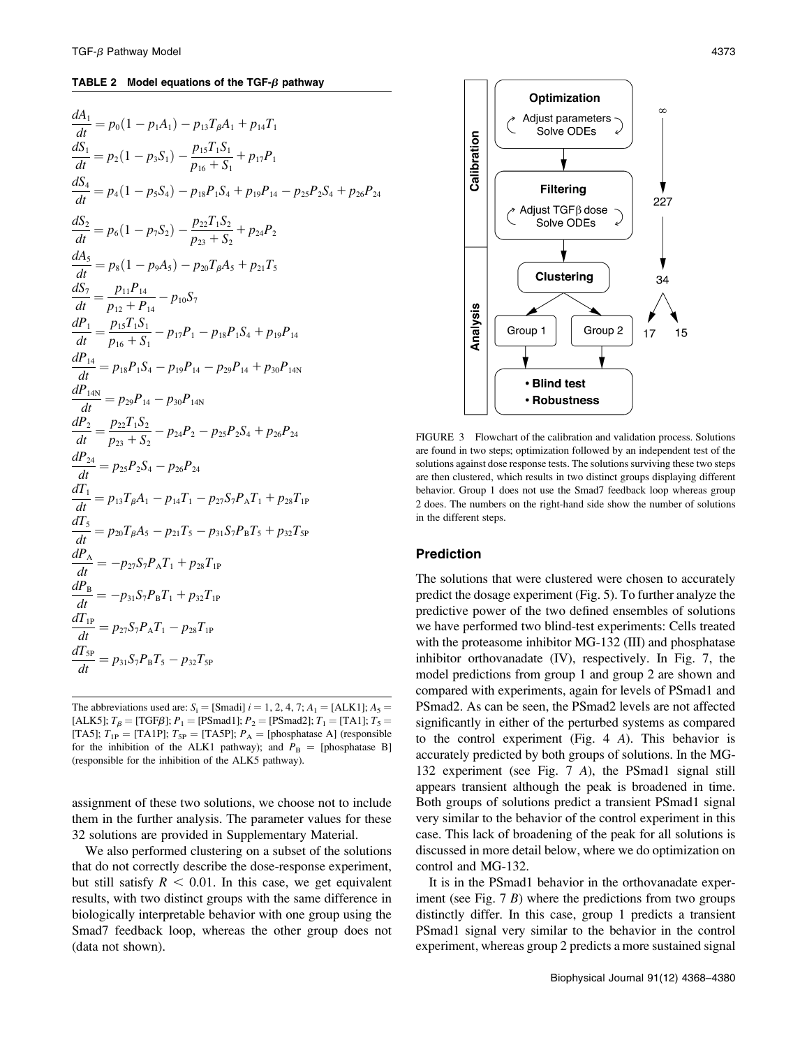#### TABLE 2 Model equations of the TGF- $\beta$  pathway

$$
\frac{dA_1}{dt} = p_0(1 - p_1A_1) - p_{13}T_{\beta}A_1 + p_{14}T_1
$$
\n
$$
\frac{dS_1}{dt} = p_2(1 - p_3S_1) - \frac{p_{15}T_1S_1}{p_{16} + S_1} + p_{17}P_1
$$
\n
$$
\frac{dS_4}{dt} = p_4(1 - p_5S_4) - p_{18}P_1S_4 + p_{19}P_{14} - p_{25}P_2S_4 + p_{26}P_{24}
$$
\n
$$
\frac{dS_2}{dt} = p_6(1 - p_7S_2) - \frac{p_{22}T_1S_2}{p_{23} + S_2} + p_{24}P_2
$$
\n
$$
\frac{dA_5}{dt} = p_8(1 - p_9A_5) - p_{20}T_{\beta}A_5 + p_{21}T_5
$$
\n
$$
\frac{dS_7}{dt} = \frac{p_{11}P_{14}}{p_{12} + P_{14}} - p_{10}S_7
$$
\n
$$
\frac{dP_1}{dt} = \frac{p_{15}T_1S_1}{p_{16} + S_1} - p_{17}P_1 - p_{18}P_1S_4 + p_{19}P_{14}
$$
\n
$$
\frac{dP_{14}}{dt} = p_{18}P_1S_4 - p_{19}P_{14} - p_{29}P_{14} + p_{30}P_{14N}
$$
\n
$$
\frac{dP_{14N}}{dt} = p_{23}P_{14} - p_{30}P_{14N}
$$
\n
$$
\frac{dP_2}{dt} = \frac{p_{22}T_1S_2}{p_{23} + S_2} - p_{24}P_2 - p_{25}P_2S_4 + p_{26}P_{24}
$$
\n
$$
\frac{dP_24}{dt} = p_{25}P_2S_4 - p_{26}P_{24}
$$
\n
$$
\frac{dT_1}{dt} = p_{13}T_{\beta}A_1 - p_{14}T_1 - p_{27}S_7P_AT_1 + p_{28}T_{1P}
$$
\n
$$
\frac{dT_5}{dt}
$$

The abbreviations used are:  $S_i =$  [Smadi]  $i = 1, 2, 4, 7; A_1 =$  [ALK1];  $A_5 =$ [ALK5];  $T_\beta$  = [TGF $\beta$ ];  $P_1$  = [PSmad1];  $P_2$  = [PSmad2];  $T_1$  = [TA1];  $T_5$  = [TA5];  $T_{1P}$  = [TA1P];  $T_{5P}$  = [TA5P];  $P_A$  = [phosphatase A] (responsible for the inhibition of the ALK1 pathway); and  $P_B =$  [phosphatase B] (responsible for the inhibition of the ALK5 pathway).

assignment of these two solutions, we choose not to include them in the further analysis. The parameter values for these 32 solutions are provided in Supplementary Material.

We also performed clustering on a subset of the solutions that do not correctly describe the dose-response experiment, but still satisfy  $R < 0.01$ . In this case, we get equivalent results, with two distinct groups with the same difference in biologically interpretable behavior with one group using the Smad7 feedback loop, whereas the other group does not (data not shown).



FIGURE 3 Flowchart of the calibration and validation process. Solutions are found in two steps; optimization followed by an independent test of the solutions against dose response tests. The solutions surviving these two steps are then clustered, which results in two distinct groups displaying different behavior. Group 1 does not use the Smad7 feedback loop whereas group 2 does. The numbers on the right-hand side show the number of solutions in the different steps.

# Prediction

The solutions that were clustered were chosen to accurately predict the dosage experiment (Fig. 5). To further analyze the predictive power of the two defined ensembles of solutions we have performed two blind-test experiments: Cells treated with the proteasome inhibitor MG-132 (III) and phosphatase inhibitor orthovanadate (IV), respectively. In Fig. 7, the model predictions from group 1 and group 2 are shown and compared with experiments, again for levels of PSmad1 and PSmad2. As can be seen, the PSmad2 levels are not affected significantly in either of the perturbed systems as compared to the control experiment (Fig. 4 A). This behavior is accurately predicted by both groups of solutions. In the MG-132 experiment (see Fig. 7 A), the PSmad1 signal still appears transient although the peak is broadened in time. Both groups of solutions predict a transient PSmad1 signal very similar to the behavior of the control experiment in this case. This lack of broadening of the peak for all solutions is discussed in more detail below, where we do optimization on control and MG-132.

It is in the PSmad1 behavior in the orthovanadate experiment (see Fig.  $7 B$ ) where the predictions from two groups distinctly differ. In this case, group 1 predicts a transient PSmad1 signal very similar to the behavior in the control experiment, whereas group 2 predicts a more sustained signal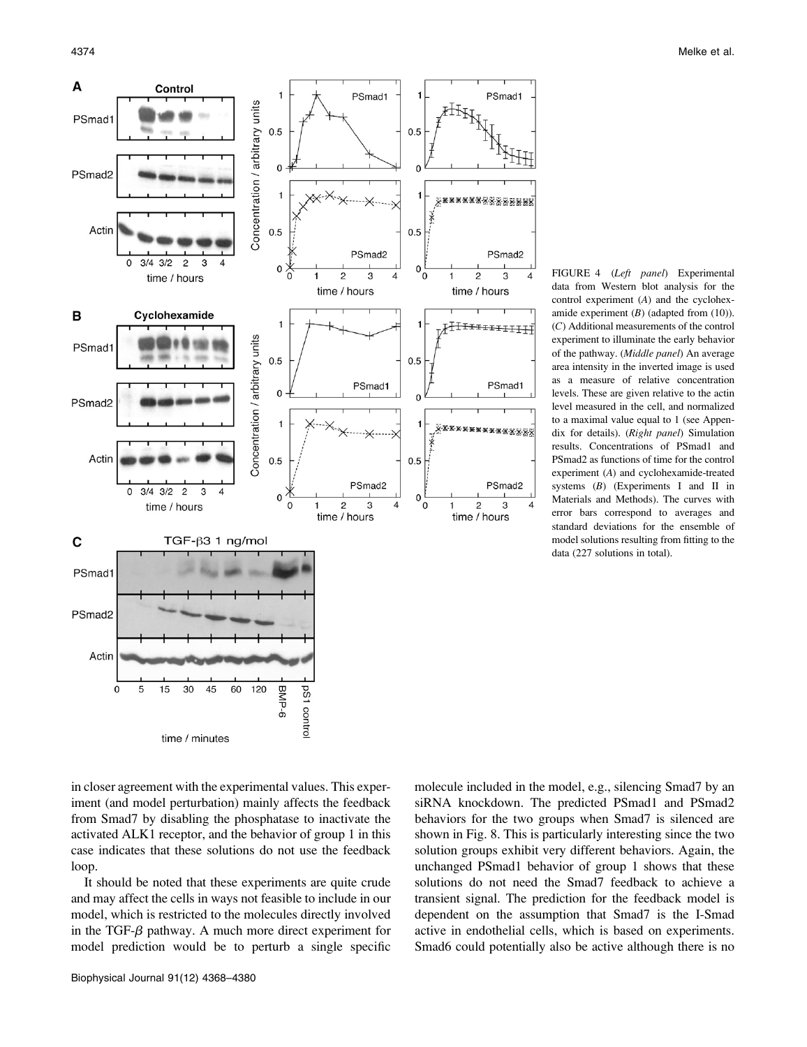

FIGURE 4 (Left panel) Experimental data from Western blot analysis for the control experiment (A) and the cyclohexamide experiment  $(B)$  (adapted from  $(10)$ ). (C) Additional measurements of the control experiment to illuminate the early behavior of the pathway. (Middle panel) An average area intensity in the inverted image is used as a measure of relative concentration levels. These are given relative to the actin level measured in the cell, and normalized to a maximal value equal to 1 (see Appendix for details). (Right panel) Simulation results. Concentrations of PSmad1 and PSmad2 as functions of time for the control experiment (A) and cyclohexamide-treated systems  $(B)$  (Experiments I and II in Materials and Methods). The curves with error bars correspond to averages and standard deviations for the ensemble of model solutions resulting from fitting to the data (227 solutions in total).

in closer agreement with the experimental values. This experiment (and model perturbation) mainly affects the feedback from Smad7 by disabling the phosphatase to inactivate the activated ALK1 receptor, and the behavior of group 1 in this case indicates that these solutions do not use the feedback loop.

It should be noted that these experiments are quite crude and may affect the cells in ways not feasible to include in our model, which is restricted to the molecules directly involved in the TGF- $\beta$  pathway. A much more direct experiment for model prediction would be to perturb a single specific

molecule included in the model, e.g., silencing Smad7 by an siRNA knockdown. The predicted PSmad1 and PSmad2 behaviors for the two groups when Smad7 is silenced are shown in Fig. 8. This is particularly interesting since the two solution groups exhibit very different behaviors. Again, the unchanged PSmad1 behavior of group 1 shows that these solutions do not need the Smad7 feedback to achieve a transient signal. The prediction for the feedback model is dependent on the assumption that Smad7 is the I-Smad active in endothelial cells, which is based on experiments. Smad6 could potentially also be active although there is no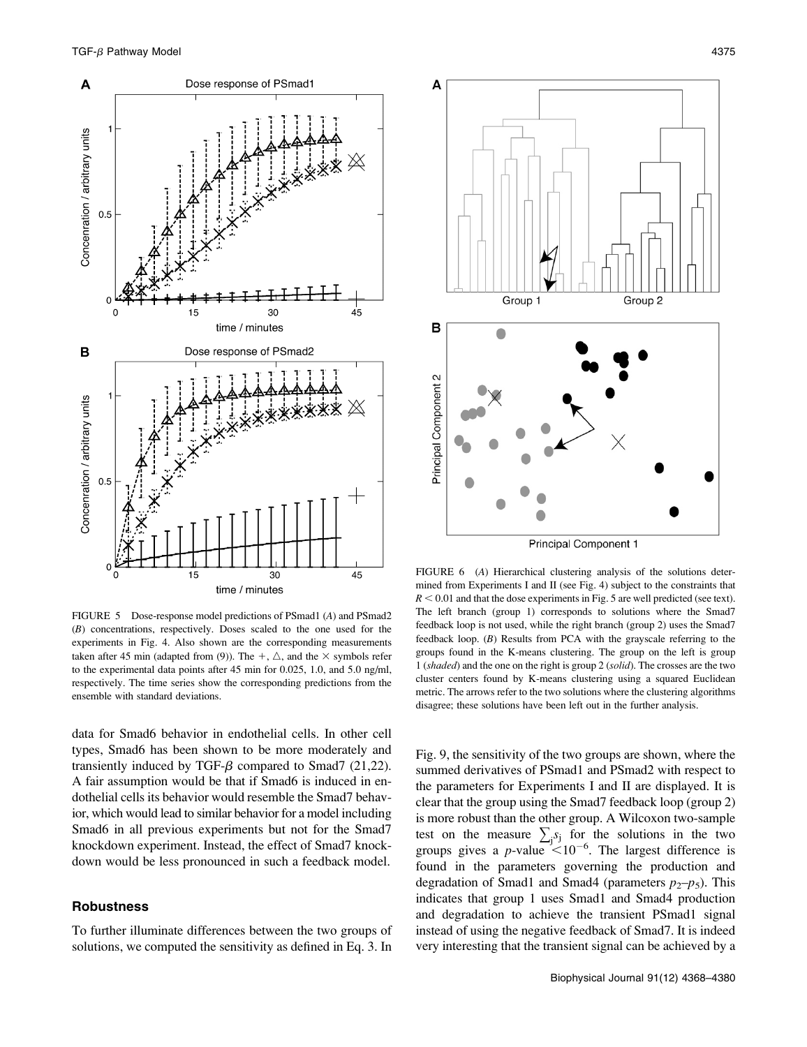

FIGURE 5 Dose-response model predictions of PSmad1 (A) and PSmad2 (B) concentrations, respectively. Doses scaled to the one used for the experiments in Fig. 4. Also shown are the corresponding measurements taken after 45 min (adapted from (9)). The  $+$ ,  $\triangle$ , and the  $\times$  symbols refer to the experimental data points after 45 min for 0.025, 1.0, and 5.0 ng/ml, respectively. The time series show the corresponding predictions from the ensemble with standard deviations.

data for Smad6 behavior in endothelial cells. In other cell types, Smad6 has been shown to be more moderately and transiently induced by TGF- $\beta$  compared to Smad7 (21,22). A fair assumption would be that if Smad6 is induced in endothelial cells its behavior would resemble the Smad7 behavior, which would lead to similar behavior for a model including Smad6 in all previous experiments but not for the Smad7 knockdown experiment. Instead, the effect of Smad7 knockdown would be less pronounced in such a feedback model.

# **Robustness**

To further illuminate differences between the two groups of solutions, we computed the sensitivity as defined in Eq. 3. In



**Principal Component 1** 

FIGURE 6 (A) Hierarchical clustering analysis of the solutions determined from Experiments I and II (see Fig. 4) subject to the constraints that  $R < 0.01$  and that the dose experiments in Fig. 5 are well predicted (see text). The left branch (group 1) corresponds to solutions where the Smad7 feedback loop is not used, while the right branch (group 2) uses the Smad7 feedback loop. (B) Results from PCA with the grayscale referring to the groups found in the K-means clustering. The group on the left is group 1 (shaded) and the one on the right is group 2 (solid). The crosses are the two cluster centers found by K-means clustering using a squared Euclidean metric. The arrows refer to the two solutions where the clustering algorithms disagree; these solutions have been left out in the further analysis.

Fig. 9, the sensitivity of the two groups are shown, where the summed derivatives of PSmad1 and PSmad2 with respect to the parameters for Experiments I and II are displayed. It is clear that the group using the Smad7 feedback loop (group 2) is more robust than the other group. A Wilcoxon two-sample test on the measure  $\sum_j s_j$  for the solutions in the two groups gives a p-value  $\leq 10^{-6}$ . The largest difference is found in the parameters governing the production and degradation of Smad1 and Smad4 (parameters  $p_2-p_5$ ). This indicates that group 1 uses Smad1 and Smad4 production and degradation to achieve the transient PSmad1 signal instead of using the negative feedback of Smad7. It is indeed very interesting that the transient signal can be achieved by a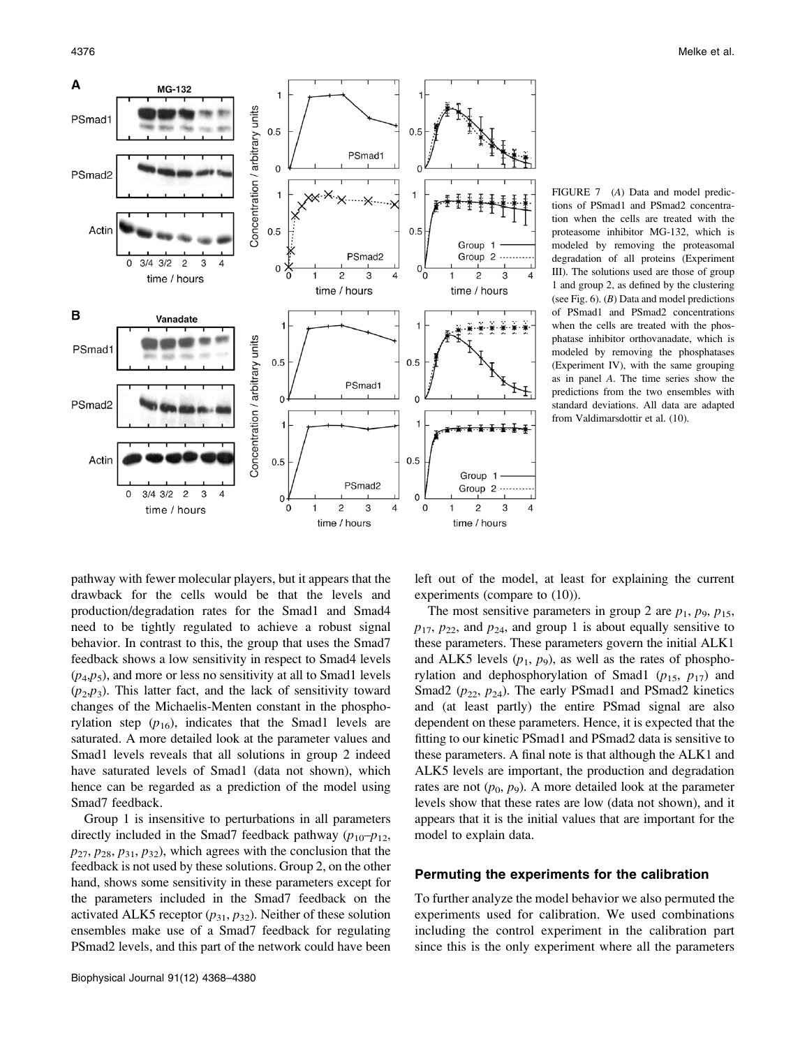

FIGURE 7 (A) Data and model predictions of PSmad1 and PSmad2 concentration when the cells are treated with the proteasome inhibitor MG-132, which is modeled by removing the proteasomal degradation of all proteins (Experiment III). The solutions used are those of group 1 and group 2, as defined by the clustering (see Fig.  $6$ ). (B) Data and model predictions of PSmad1 and PSmad2 concentrations when the cells are treated with the phosphatase inhibitor orthovanadate, which is modeled by removing the phosphatases (Experiment IV), with the same grouping as in panel A. The time series show the predictions from the two ensembles with standard deviations. All data are adapted from Valdimarsdottir et al. (10).

pathway with fewer molecular players, but it appears that the drawback for the cells would be that the levels and production/degradation rates for the Smad1 and Smad4 need to be tightly regulated to achieve a robust signal behavior. In contrast to this, the group that uses the Smad7 feedback shows a low sensitivity in respect to Smad4 levels  $(p_4, p_5)$ , and more or less no sensitivity at all to Smad1 levels  $(p_2, p_3)$ . This latter fact, and the lack of sensitivity toward changes of the Michaelis-Menten constant in the phosphorylation step  $(p_{16})$ , indicates that the Smad1 levels are saturated. A more detailed look at the parameter values and Smad1 levels reveals that all solutions in group 2 indeed have saturated levels of Smad1 (data not shown), which hence can be regarded as a prediction of the model using Smad7 feedback.

Group 1 is insensitive to perturbations in all parameters directly included in the Smad7 feedback pathway  $(p_{10}-p_{12},$  $p_{27}, p_{28}, p_{31}, p_{32}$ , which agrees with the conclusion that the feedback is not used by these solutions. Group 2, on the other hand, shows some sensitivity in these parameters except for the parameters included in the Smad7 feedback on the activated ALK5 receptor  $(p_{31}, p_{32})$ . Neither of these solution ensembles make use of a Smad7 feedback for regulating PSmad2 levels, and this part of the network could have been

left out of the model, at least for explaining the current experiments (compare to (10)).

The most sensitive parameters in group 2 are  $p_1$ ,  $p_9$ ,  $p_{15}$ ,  $p_{17}$ ,  $p_{22}$ , and  $p_{24}$ , and group 1 is about equally sensitive to these parameters. These parameters govern the initial ALK1 and ALK5 levels  $(p_1, p_9)$ , as well as the rates of phosphorylation and dephosphorylation of Smad1 ( $p_{15}$ ,  $p_{17}$ ) and Smad2 ( $p_{22}$ ,  $p_{24}$ ). The early PSmad1 and PSmad2 kinetics and (at least partly) the entire PSmad signal are also dependent on these parameters. Hence, it is expected that the fitting to our kinetic PSmad1 and PSmad2 data is sensitive to these parameters. A final note is that although the ALK1 and ALK5 levels are important, the production and degradation rates are not  $(p_0, p_9)$ . A more detailed look at the parameter levels show that these rates are low (data not shown), and it appears that it is the initial values that are important for the model to explain data.

# Permuting the experiments for the calibration

To further analyze the model behavior we also permuted the experiments used for calibration. We used combinations including the control experiment in the calibration part since this is the only experiment where all the parameters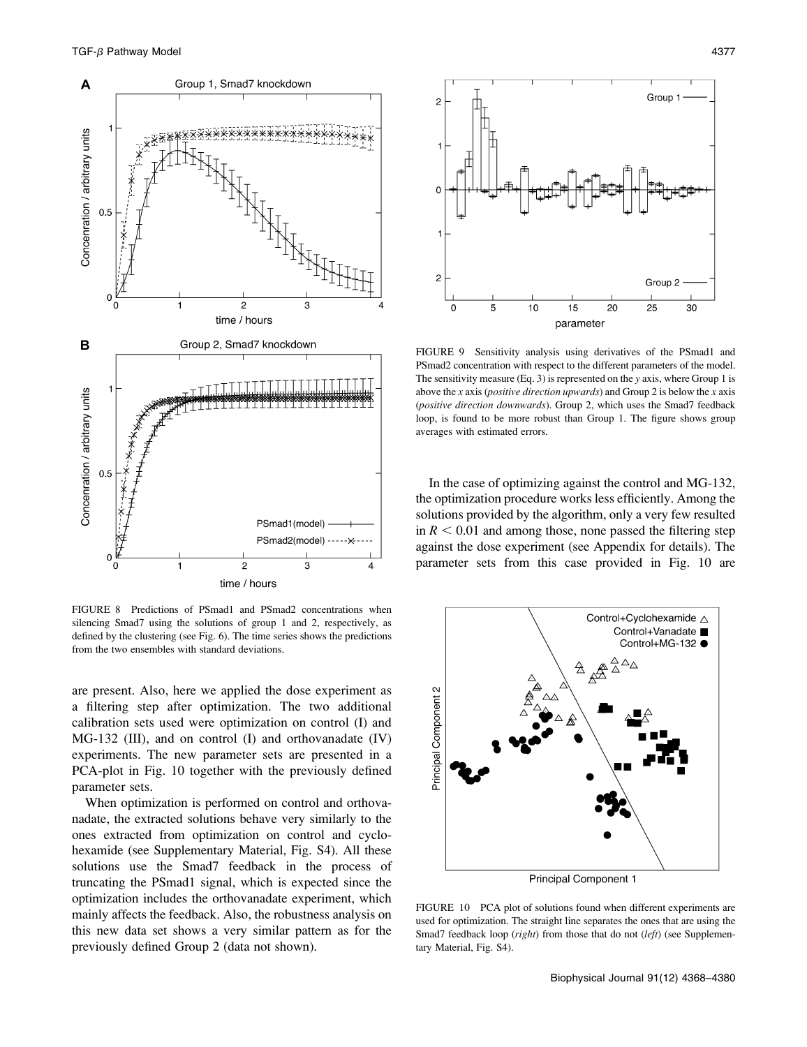

FIGURE 8 Predictions of PSmad1 and PSmad2 concentrations when silencing Smad7 using the solutions of group 1 and 2, respectively, as defined by the clustering (see Fig. 6). The time series shows the predictions from the two ensembles with standard deviations.

are present. Also, here we applied the dose experiment as a filtering step after optimization. The two additional calibration sets used were optimization on control (I) and MG-132 (III), and on control (I) and orthovanadate (IV) experiments. The new parameter sets are presented in a PCA-plot in Fig. 10 together with the previously defined parameter sets.

When optimization is performed on control and orthovanadate, the extracted solutions behave very similarly to the ones extracted from optimization on control and cyclohexamide (see Supplementary Material, Fig. S4). All these solutions use the Smad7 feedback in the process of truncating the PSmad1 signal, which is expected since the optimization includes the orthovanadate experiment, which mainly affects the feedback. Also, the robustness analysis on this new data set shows a very similar pattern as for the previously defined Group 2 (data not shown).



FIGURE 9 Sensitivity analysis using derivatives of the PSmad1 and PSmad2 concentration with respect to the different parameters of the model. The sensitivity measure (Eq. 3) is represented on the y axis, where Group 1 is above the x axis (*positive direction upwards*) and Group 2 is below the x axis (positive direction downwards). Group 2, which uses the Smad7 feedback loop, is found to be more robust than Group 1. The figure shows group averages with estimated errors.

In the case of optimizing against the control and MG-132, the optimization procedure works less efficiently. Among the solutions provided by the algorithm, only a very few resulted in  $R < 0.01$  and among those, none passed the filtering step against the dose experiment (see Appendix for details). The parameter sets from this case provided in Fig. 10 are



Principal Component 1

FIGURE 10 PCA plot of solutions found when different experiments are used for optimization. The straight line separates the ones that are using the Smad7 feedback loop (right) from those that do not (left) (see Supplementary Material, Fig. S4).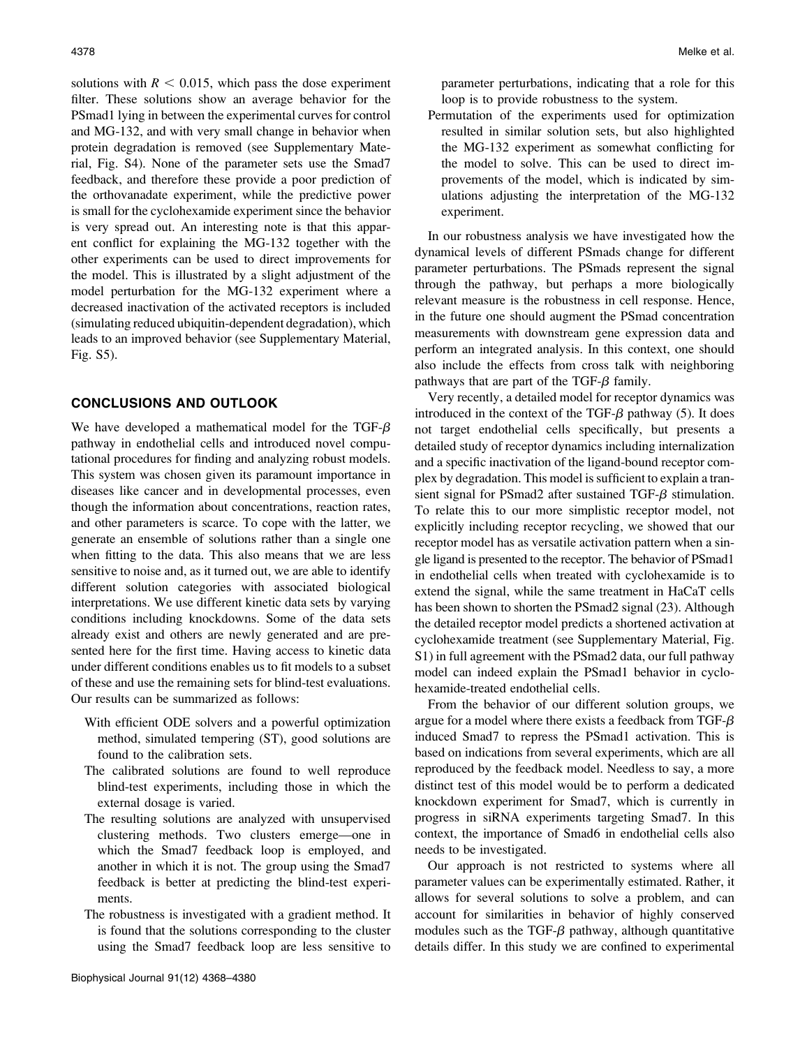solutions with  $R < 0.015$ , which pass the dose experiment filter. These solutions show an average behavior for the PSmad1 lying in between the experimental curves for control and MG-132, and with very small change in behavior when protein degradation is removed (see Supplementary Material, Fig. S4). None of the parameter sets use the Smad7 feedback, and therefore these provide a poor prediction of the orthovanadate experiment, while the predictive power is small for the cyclohexamide experiment since the behavior is very spread out. An interesting note is that this apparent conflict for explaining the MG-132 together with the other experiments can be used to direct improvements for the model. This is illustrated by a slight adjustment of the model perturbation for the MG-132 experiment where a decreased inactivation of the activated receptors is included (simulating reduced ubiquitin-dependent degradation), which leads to an improved behavior (see Supplementary Material, Fig. S5).

# CONCLUSIONS AND OUTLOOK

We have developed a mathematical model for the TGF- $\beta$ pathway in endothelial cells and introduced novel computational procedures for finding and analyzing robust models. This system was chosen given its paramount importance in diseases like cancer and in developmental processes, even though the information about concentrations, reaction rates, and other parameters is scarce. To cope with the latter, we generate an ensemble of solutions rather than a single one when fitting to the data. This also means that we are less sensitive to noise and, as it turned out, we are able to identify different solution categories with associated biological interpretations. We use different kinetic data sets by varying conditions including knockdowns. Some of the data sets already exist and others are newly generated and are presented here for the first time. Having access to kinetic data under different conditions enables us to fit models to a subset of these and use the remaining sets for blind-test evaluations. Our results can be summarized as follows:

- With efficient ODE solvers and a powerful optimization method, simulated tempering (ST), good solutions are found to the calibration sets.
- The calibrated solutions are found to well reproduce blind-test experiments, including those in which the external dosage is varied.
- The resulting solutions are analyzed with unsupervised clustering methods. Two clusters emerge—one in which the Smad7 feedback loop is employed, and another in which it is not. The group using the Smad7 feedback is better at predicting the blind-test experiments.
- The robustness is investigated with a gradient method. It is found that the solutions corresponding to the cluster using the Smad7 feedback loop are less sensitive to

parameter perturbations, indicating that a role for this loop is to provide robustness to the system.

Permutation of the experiments used for optimization resulted in similar solution sets, but also highlighted the MG-132 experiment as somewhat conflicting for the model to solve. This can be used to direct improvements of the model, which is indicated by simulations adjusting the interpretation of the MG-132 experiment.

In our robustness analysis we have investigated how the dynamical levels of different PSmads change for different parameter perturbations. The PSmads represent the signal through the pathway, but perhaps a more biologically relevant measure is the robustness in cell response. Hence, in the future one should augment the PSmad concentration measurements with downstream gene expression data and perform an integrated analysis. In this context, one should also include the effects from cross talk with neighboring pathways that are part of the TGF- $\beta$  family.

Very recently, a detailed model for receptor dynamics was introduced in the context of the TGF- $\beta$  pathway (5). It does not target endothelial cells specifically, but presents a detailed study of receptor dynamics including internalization and a specific inactivation of the ligand-bound receptor complex by degradation. This model is sufficient to explain a transient signal for PSmad2 after sustained TGF- $\beta$  stimulation. To relate this to our more simplistic receptor model, not explicitly including receptor recycling, we showed that our receptor model has as versatile activation pattern when a single ligand is presented to the receptor. The behavior of PSmad1 in endothelial cells when treated with cyclohexamide is to extend the signal, while the same treatment in HaCaT cells has been shown to shorten the PSmad2 signal (23). Although the detailed receptor model predicts a shortened activation at cyclohexamide treatment (see Supplementary Material, Fig. S1) in full agreement with the PSmad2 data, our full pathway model can indeed explain the PSmad1 behavior in cyclohexamide-treated endothelial cells.

From the behavior of our different solution groups, we argue for a model where there exists a feedback from TGF- $\beta$ induced Smad7 to repress the PSmad1 activation. This is based on indications from several experiments, which are all reproduced by the feedback model. Needless to say, a more distinct test of this model would be to perform a dedicated knockdown experiment for Smad7, which is currently in progress in siRNA experiments targeting Smad7. In this context, the importance of Smad6 in endothelial cells also needs to be investigated.

Our approach is not restricted to systems where all parameter values can be experimentally estimated. Rather, it allows for several solutions to solve a problem, and can account for similarities in behavior of highly conserved modules such as the TGF- $\beta$  pathway, although quantitative details differ. In this study we are confined to experimental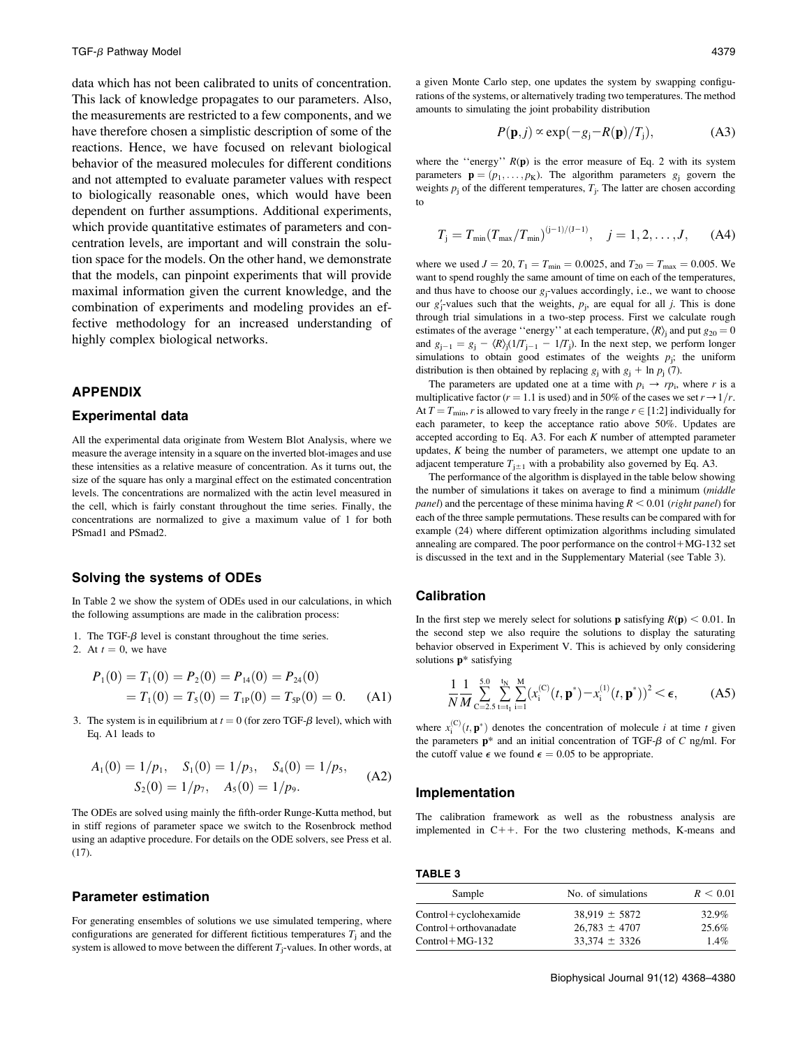data which has not been calibrated to units of concentration. This lack of knowledge propagates to our parameters. Also, the measurements are restricted to a few components, and we have therefore chosen a simplistic description of some of the reactions. Hence, we have focused on relevant biological behavior of the measured molecules for different conditions and not attempted to evaluate parameter values with respect to biologically reasonable ones, which would have been dependent on further assumptions. Additional experiments, which provide quantitative estimates of parameters and concentration levels, are important and will constrain the solution space for the models. On the other hand, we demonstrate that the models, can pinpoint experiments that will provide maximal information given the current knowledge, and the combination of experiments and modeling provides an effective methodology for an increased understanding of highly complex biological networks.

### APPENDIX

### Experimental data

All the experimental data originate from Western Blot Analysis, where we measure the average intensity in a square on the inverted blot-images and use these intensities as a relative measure of concentration. As it turns out, the size of the square has only a marginal effect on the estimated concentration levels. The concentrations are normalized with the actin level measured in the cell, which is fairly constant throughout the time series. Finally, the concentrations are normalized to give a maximum value of 1 for both PSmad1 and PSmad2.

# Solving the systems of ODEs

In Table 2 we show the system of ODEs used in our calculations, in which the following assumptions are made in the calibration process:

- 1. The TGF- $\beta$  level is constant throughout the time series.
- 2. At  $t = 0$ , we have

$$
P_1(0) = T_1(0) = P_2(0) = P_{14}(0) = P_{24}(0)
$$
  
=  $T_1(0) = T_5(0) = T_{1P}(0) = T_{5P}(0) = 0.$  (A1)

3. The system is in equilibrium at  $t = 0$  (for zero TGF- $\beta$  level), which with Eq. A1 leads to

$$
A_1(0) = 1/p_1, \quad S_1(0) = 1/p_3, \quad S_4(0) = 1/p_5, S_2(0) = 1/p_7, \quad A_5(0) = 1/p_9.
$$
 (A2)

The ODEs are solved using mainly the fifth-order Runge-Kutta method, but in stiff regions of parameter space we switch to the Rosenbrock method using an adaptive procedure. For details on the ODE solvers, see Press et al.  $(17)$ .

### Parameter estimation

For generating ensembles of solutions we use simulated tempering, where configurations are generated for different fictitious temperatures  $T_i$  and the system is allowed to move between the different  $T_i$ -values. In other words, at a given Monte Carlo step, one updates the system by swapping configurations of the systems, or alternatively trading two temperatures. The method amounts to simulating the joint probability distribution

$$
P(\mathbf{p},j) \propto \exp(-g_j - R(\mathbf{p})/T_j), \tag{A3}
$$

where the "energy"  $R(p)$  is the error measure of Eq. 2 with its system parameters  $\mathbf{p} = (p_1, \dots, p_K)$ . The algorithm parameters  $g_i$  govern the weights  $p_j$  of the different temperatures,  $T_j$ . The latter are chosen according to

$$
T_j = T_{\min}(T_{\max}/T_{\min})^{(j-1)/(J-1)}, \quad j = 1, 2, \dots, J, \quad (A4)
$$

where we used  $J = 20$ ,  $T_1 = T_{\text{min}} = 0.0025$ , and  $T_{20} = T_{\text{max}} = 0.005$ . We want to spend roughly the same amount of time on each of the temperatures, and thus have to choose our  $g_i$ -values accordingly, i.e., we want to choose our  $g'_i$ -values such that the weights,  $p_i$ , are equal for all j. This is done through trial simulations in a two-step process. First we calculate rough estimates of the average "energy" at each temperature,  $\langle R \rangle$  and put  $g_{20} = 0$ and  $g_{i-1} = g_i - \langle R \rangle_i (1/T_{i-1} - 1/T_i)$ . In the next step, we perform longer simulations to obtain good estimates of the weights  $p_i$ ; the uniform distribution is then obtained by replacing  $g_j$  with  $g_j + \ln p_j$  (7).

The parameters are updated one at a time with  $p_i \rightarrow rp_i$ , where r is a multiplicative factor ( $r = 1.1$  is used) and in 50% of the cases we set  $r \rightarrow 1/r$ . At  $T = T_{\text{min}}$ , r is allowed to vary freely in the range  $r \in [1:2]$  individually for each parameter, to keep the acceptance ratio above 50%. Updates are accepted according to Eq. A3. For each  $K$  number of attempted parameter updates,  $K$  being the number of parameters, we attempt one update to an adjacent temperature  $T_{i+1}$  with a probability also governed by Eq. A3.

The performance of the algorithm is displayed in the table below showing the number of simulations it takes on average to find a minimum (middle *panel*) and the percentage of these minima having  $R < 0.01$  (right panel) for each of the three sample permutations. These results can be compared with for example (24) where different optimization algorithms including simulated annealing are compared. The poor performance on the control $+MG-132$  set is discussed in the text and in the Supplementary Material (see Table 3).

# Calibration

In the first step we merely select for solutions **p** satisfying  $R(\mathbf{p}) < 0.01$ . In the second step we also require the solutions to display the saturating behavior observed in Experiment V. This is achieved by only considering solutions p\* satisfying

$$
\frac{1}{N}\frac{1}{M}\sum_{c=2.5}^{5.0} \sum_{t=t_1}^{t_N} \sum_{i=1}^{M} (x_i^{(c)}(t, \mathbf{p}^*) - x_i^{(1)}(t, \mathbf{p}^*))^2 < \epsilon,
$$
 (A5)

where  $x_i^{(C)}(t, \mathbf{p}^*)$  denotes the concentration of molecule *i* at time *t* given the parameters  $p^*$  and an initial concentration of TGF- $\beta$  of C ng/ml. For the cutoff value  $\epsilon$  we found  $\epsilon = 0.05$  to be appropriate.

#### Implementation

The calibration framework as well as the robustness analysis are implemented in  $C++$ . For the two clustering methods, K-means and

TABLE 3

| Sample                | No. of simulations | R < 0.01 |
|-----------------------|--------------------|----------|
| Control+cyclohexamide | $38.919 \pm 5872$  | 32.9%    |
| Control+orthovanadate | $26.783 \pm 4707$  | 25.6%    |
| Control+MG-132        | $33.374 \pm 3326$  | $1.4\%$  |